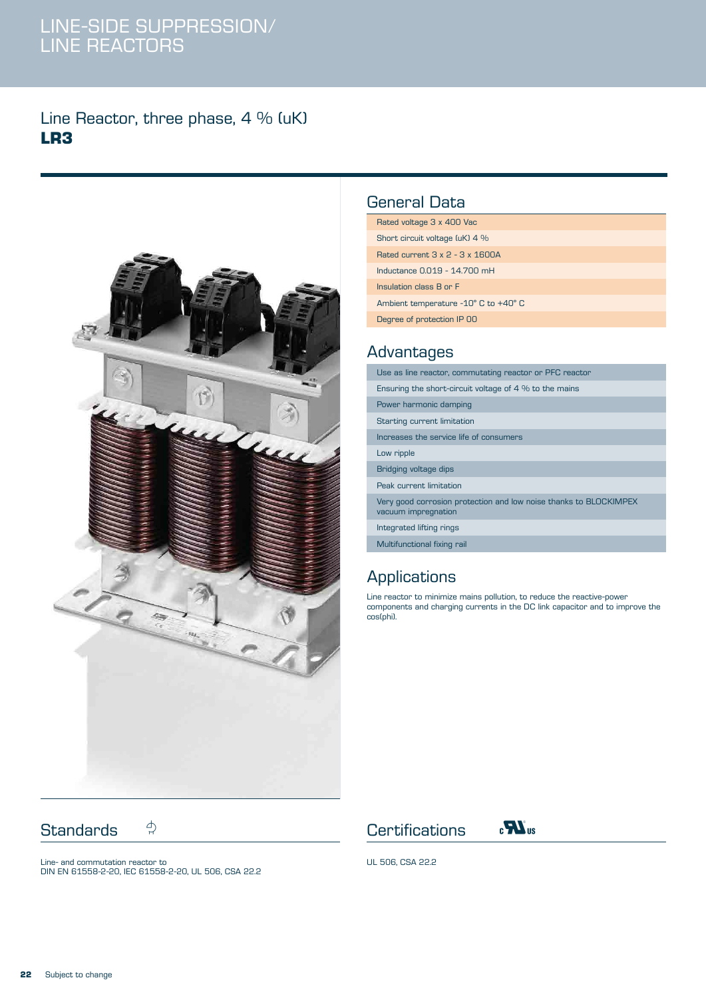#### Line Reactor, three phase, 4 % (uK) **LR3**



#### General Data

| Rated voltage 3 x 400 Vac                   |
|---------------------------------------------|
| Short circuit voltage (uK) 4 %              |
| Rated current $3 \times 2 - 3 \times 1600A$ |
| Inductance 0.019 - 14.700 mH                |
| Insulation class B or F                     |
| Ambient temperature -10° C to +40° C        |
| Degree of protection IP 00                  |

#### Advantages

| Use as line reactor, commutating reactor or PFC reactor                                  |
|------------------------------------------------------------------------------------------|
| Ensuring the short-circuit voltage of $4\%$ to the mains                                 |
| Power harmonic damping                                                                   |
| Starting current limitation                                                              |
| Increases the service life of consumers                                                  |
| Low ripple                                                                               |
| Bridging voltage dips                                                                    |
| Peak current limitation                                                                  |
| Very good corrosion protection and low noise thanks to BLOCKIMPEX<br>vacuum impregnation |
| Integrated lifting rings                                                                 |
| Multifunctional fixing rail                                                              |

# Applications

Line reactor to minimize mains pollution, to reduce the reactive-power components and charging currents in the DC link capacitor and to improve the cos(phi).

Standards  $\stackrel{\wedge}{\rightarrow}$  Certifications  $\stackrel{\wedge}{\bullet}$   $\stackrel{\wedge}{\bullet}$  w

Line- and commutation reactor to DIN EN 61558-2-20, IEC 61558-2-20, UL 506, CSA 22.2



UL 506, CSA 22.2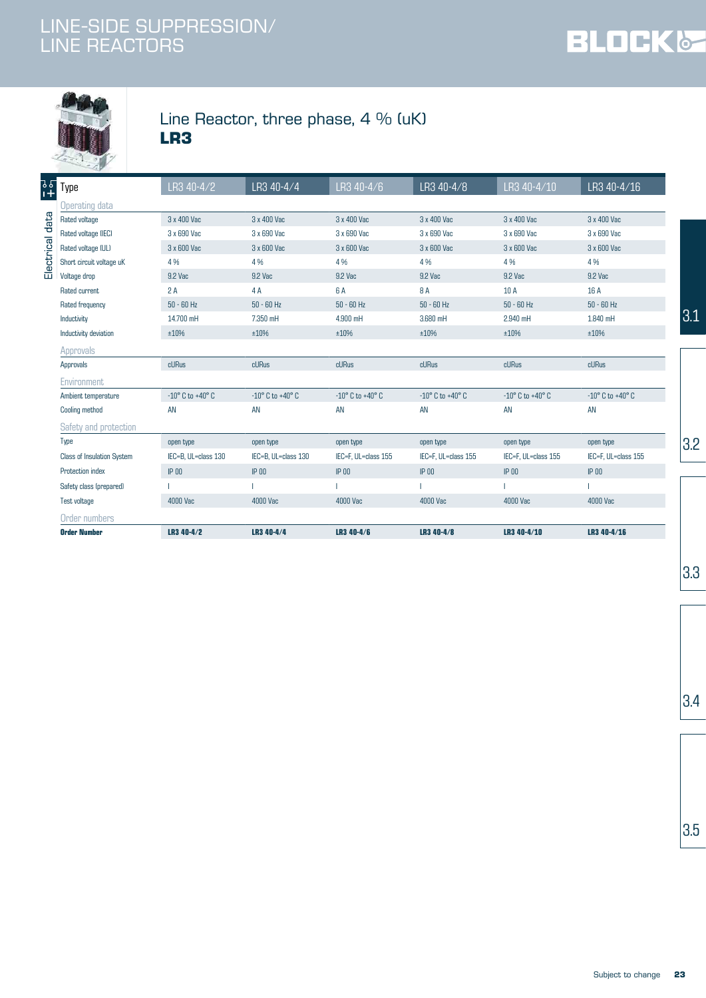



### Line Reactor, three phase, 4 % (uK) **LR3**

|                 | - 49                       | LR3 40-4/2                         | LR3 40-4/4                         | LR3 40-4/6                         | LR3 40-4/8                         | LR3 40-4/10                        | LR3 40-4/16                        |
|-----------------|----------------------------|------------------------------------|------------------------------------|------------------------------------|------------------------------------|------------------------------------|------------------------------------|
| ]<br>የ<br>}     | Type                       |                                    |                                    |                                    |                                    |                                    |                                    |
|                 | Operating data             |                                    |                                    |                                    |                                    |                                    |                                    |
| Electrical data | Rated voltage              | 3 x 400 Vac                        | 3 x 400 Vac                        | 3 x 400 Vac                        | 3 x 400 Vac                        | 3 x 400 Vac                        | 3 x 400 Vac                        |
|                 | Rated voltage (IEC)        | 3 x 690 Vac                        | 3 x 690 Vac                        | 3 x 690 Vac                        | 3 x 690 Vac                        | 3 x 690 Vac                        | 3 x 690 Vac                        |
|                 | Rated voltage (UL)         | 3 x 600 Vac                        | 3 x 600 Vac                        | 3 x 600 Vac                        | 3 x 600 Vac                        | 3 x 600 Vac                        | 3 x 600 Vac                        |
|                 | Short circuit voltage uK   | 4 %                                | 4%                                 | 4%                                 | 4%                                 | 4%                                 | 4%                                 |
|                 | Voltage drop               | 9.2 Vac                            | 9.2 Vac                            | 9.2 Vac                            | 9.2 Vac                            | 9.2 Vac                            | 9.2 Vac                            |
|                 | Rated current              | 2A                                 | 4 A                                | 6 A                                | 8 A                                | 10 A                               | 16 A                               |
|                 | Rated frequency            | $50 - 60$ Hz                       | $50 - 60$ Hz                       | $50 - 60$ Hz                       | $50 - 60$ Hz                       | $50 - 60$ Hz                       | $50 - 60$ Hz                       |
|                 | Inductivity                | 14.700 mH                          | 7.350 mH                           | 4.900 mH                           | 3.680 mH                           | 2.940 mH                           | 1.840 mH                           |
|                 | Inductivity deviation      | ±10%                               | ±10%                               | ±10%                               | ±10%                               | ±10%                               | ±10%                               |
|                 | Approvals                  |                                    |                                    |                                    |                                    |                                    |                                    |
|                 | Approvals                  | cURus                              | cURus                              | cURus                              | cURus                              | cURus                              | cURus                              |
|                 | Environment                |                                    |                                    |                                    |                                    |                                    |                                    |
|                 | Ambient temperature        | $-10^{\circ}$ C to $+40^{\circ}$ C | $-10^{\circ}$ C to $+40^{\circ}$ C | $-10^{\circ}$ C to $+40^{\circ}$ C | $-10^{\circ}$ C to $+40^{\circ}$ C | $-10^{\circ}$ C to $+40^{\circ}$ C | $-10^{\circ}$ C to $+40^{\circ}$ C |
|                 | Cooling method             | AN                                 | AN                                 | AN                                 | AN                                 | AN                                 | AN                                 |
|                 | Safety and protection      |                                    |                                    |                                    |                                    |                                    |                                    |
|                 | Type                       | open type                          | open type                          | open type                          | open type                          | open type                          | open type                          |
|                 | Class of Insulation System | IEC=B, UL=class 130                | IEC=B, UL=class 130                | IEC=F, UL=class 155                | IEC=F, UL=class 155                | IEC=F, UL=class 155                | IEC=F, UL=class 155                |
|                 | Protection index           | $IP$ 00                            | $IP$ <sub>00</sub>                 | $IP$ 00                            | $IP$ 00                            | $IP$ 00                            | $IP$ 00                            |
|                 | Safety class (prepared)    |                                    |                                    |                                    |                                    |                                    |                                    |
|                 | Test voltage               | 4000 Vac                           | 4000 Vac                           | 4000 Vac                           | 4000 Vac                           | 4000 Vac                           | 4000 Vac                           |
|                 | Order numbers              |                                    |                                    |                                    |                                    |                                    |                                    |
|                 | <b>Order Number</b>        | LR3 40-4/2                         | LR3 40-4/4                         | LR3 40-4/6                         | LR3 40-4/8                         | LR3 40-4/10                        | LR3 40-4/16                        |
|                 |                            |                                    |                                    |                                    |                                    |                                    |                                    |

3.3

 $3.4$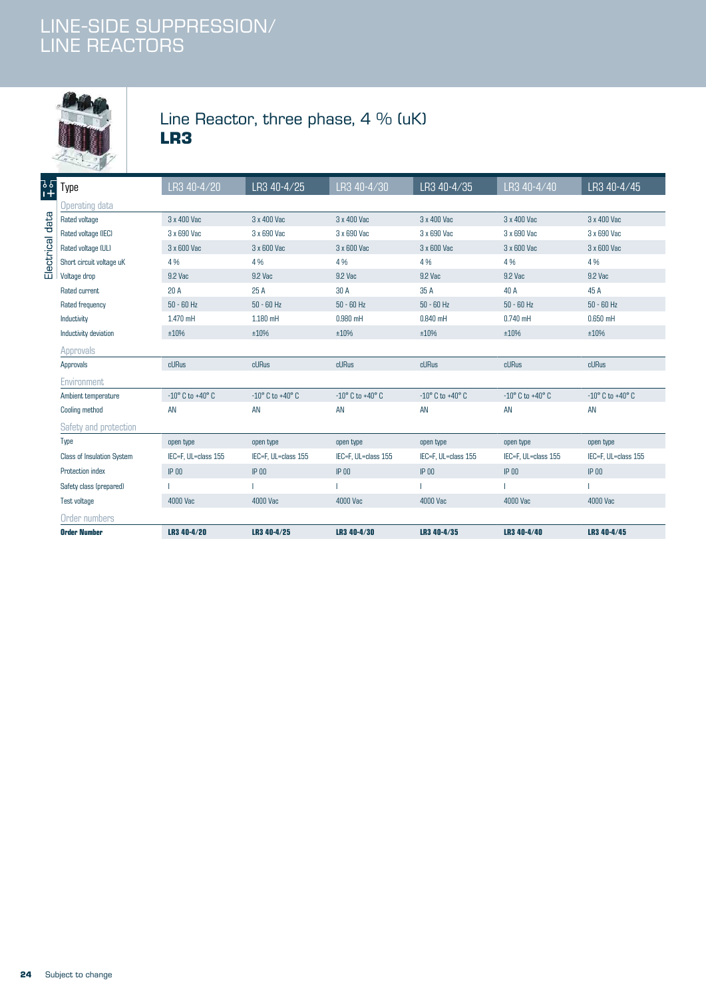

### Line Reactor, three phase, 4 % (uK) **LR3**

|                 | <b>Order Number</b>               | LR3 40-4/20                        | LR3 40-4/25                        | LR3 40-4/30                        | LR3 40-4/35                        | LR3 40-4/40                        | LR3 40-4/45                        |
|-----------------|-----------------------------------|------------------------------------|------------------------------------|------------------------------------|------------------------------------|------------------------------------|------------------------------------|
|                 | Order numbers                     |                                    |                                    |                                    |                                    |                                    |                                    |
|                 | Test voltage                      | 4000 Vac                           | 4000 Vac                           | 4000 Vac                           | 4000 Vac                           | 4000 Vac                           | 4000 Vac                           |
|                 | Safety class (prepared)           |                                    |                                    |                                    |                                    |                                    |                                    |
|                 | Protection index                  | $IP$ 00                            | $IP$ 00                            | <b>IP 00</b>                       | $IP$ $00$                          | $IP$ 00                            | $IP$ 00                            |
|                 | <b>Class of Insulation System</b> | IEC=F, UL=class 155                | IEC=F, UL=class 155                | IEC=F, UL=class 155                | IEC=F, UL=class 155                | IEC=F, UL=class 155                | IEC=F, UL=class 155                |
|                 | Type                              | open type                          | open type                          | open type                          | open type                          | open type                          | open type                          |
|                 | Safety and protection             |                                    |                                    |                                    |                                    |                                    |                                    |
|                 | Cooling method                    | AN                                 | AN                                 | AN                                 | AN                                 | AN                                 | AN                                 |
|                 | Ambient temperature               | $-10^{\circ}$ C to $+40^{\circ}$ C | $-10^{\circ}$ C to $+40^{\circ}$ C | $-10^{\circ}$ C to $+40^{\circ}$ C | $-10^{\circ}$ C to $+40^{\circ}$ C | $-10^{\circ}$ C to $+40^{\circ}$ C | $-10^{\circ}$ C to $+40^{\circ}$ C |
|                 | Environment                       |                                    |                                    |                                    |                                    |                                    |                                    |
|                 | Approvals                         | cURus                              | cURus                              | cURus                              | cURus                              | cURus                              | cURus                              |
|                 | Approvals                         |                                    |                                    |                                    |                                    |                                    |                                    |
|                 | Inductivity deviation             | ±10%                               | ±10%                               | ±10%                               | ±10%                               | ±10%                               | ±10%                               |
|                 | Inductivity                       | 1.470 mH                           | 1.180 mH                           | $0.980$ mH                         | $0.840$ mH                         | $0.740$ mH                         | $0.650$ mH                         |
|                 | Rated frequency                   | $50 - 60$ Hz                       | $50 - 60$ Hz                       | $50 - 60$ Hz                       | $50 - 60$ Hz                       | $50 - 60$ Hz                       | $50 - 60$ Hz                       |
|                 | Rated current                     | 20A                                | 25 A                               | 30 A                               | 35 A                               | 40 A                               | 45 A                               |
|                 | Voltage drop                      | 9.2 Vac                            | 9.2 Vac                            | 9.2 Vac                            | 9.2 Vac                            | 9.2 Vac                            | 9.2 Vac                            |
| Electrical data | Short circuit voltage uK          | 4%                                 | 4%                                 | 4%                                 | 4%                                 | 4%                                 | 4 %                                |
|                 | Rated voltage (UL)                | 3 x 600 Vac                        | 3 x 600 Vac                        | 3 x 600 Vac                        | 3 x 600 Vac                        | 3 x 600 Vac                        | 3 x 600 Vac                        |
|                 | Rated voltage (IEC)               | 3 x 690 Vac                        | 3 x 690 Vac                        | 3 x 690 Vac                        | 3 x 690 Vac                        | 3 x 690 Vac                        | 3 x 690 Vac                        |
|                 | Rated voltage                     | 3 x 400 Vac                        | 3 x 400 Vac                        | 3 x 400 Vac                        | 3 x 400 Vac                        | 3 x 400 Vac                        | 3 x 400 Vac                        |
|                 | <b>Operating data</b>             |                                    |                                    |                                    |                                    |                                    |                                    |
| ]<br>ያ<br>ያ     | Type                              | LR3 40-4/20                        | LR3 40-4/25                        | LR3 40-4/30                        | LR3 40-4/35                        | LR3 40-4/40                        | LR3 40-4/45                        |
|                 | -49                               |                                    |                                    |                                    |                                    |                                    |                                    |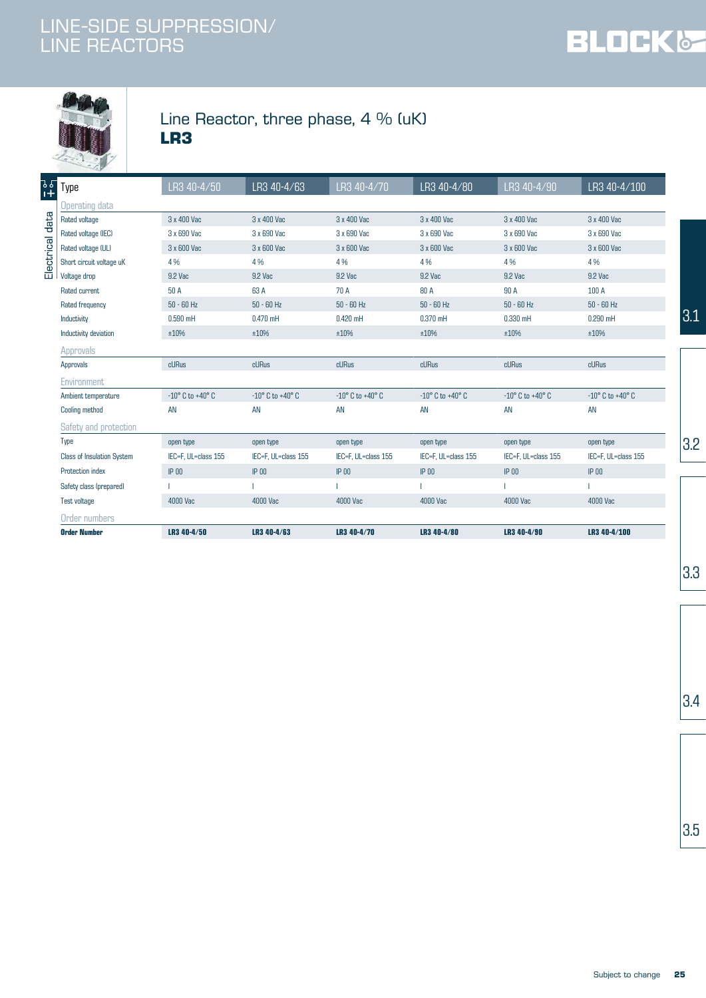



### Line Reactor, three phase, 4 % (uK) **LR3**

| <b>Order Number</b>               | LR3 40-4/50                        | LR3 40-4/63                        | LR3 40-4/70                        | LR3 40-4/80                        | LR3 40-4/90                        | LR3 40-4/100                       |
|-----------------------------------|------------------------------------|------------------------------------|------------------------------------|------------------------------------|------------------------------------|------------------------------------|
| Order numbers                     |                                    |                                    |                                    |                                    |                                    |                                    |
| Test voltage                      | 4000 Vac                           | 4000 Vac                           | 4000 Vac                           | 4000 Vac                           | 4000 Vac                           | 4000 Vac                           |
| Safety class (prepared)           |                                    |                                    |                                    |                                    |                                    |                                    |
| Protection index                  | <b>IP 00</b>                       | $IP$ 00                            | $IP$ 00                            | $IP$ 00                            | $IP$ 00                            | $IP$ 00                            |
| <b>Class of Insulation System</b> | IEC=F. UL=class 155                | IEC=F, UL=class 155                | IEC=F, UL=class 155                | IEC=F, UL=class 155                | IEC=F, UL=class 155                | IEC=F, UL=class 155                |
| Type                              | open type                          | open type                          | open type                          | open type                          | open type                          | open type                          |
| Safety and protection             |                                    |                                    |                                    |                                    |                                    |                                    |
| Cooling method                    | AN                                 | AN                                 | AN                                 | AN                                 | AN                                 | AN                                 |
| Ambient temperature               | $-10^{\circ}$ C to $+40^{\circ}$ C | $-10^{\circ}$ C to $+40^{\circ}$ C | $-10^{\circ}$ C to $+40^{\circ}$ C | $-10^{\circ}$ C to $+40^{\circ}$ C | $-10^{\circ}$ C to $+40^{\circ}$ C | $-10^{\circ}$ C to $+40^{\circ}$ C |
| Environment                       |                                    |                                    |                                    |                                    |                                    |                                    |
| Approvals                         | cURus                              | cURus                              | cURus                              | cURus                              | cURus                              | cURus                              |
| Approvals                         |                                    |                                    |                                    |                                    |                                    |                                    |
| Inductivity deviation             | ±10%                               | ±10%                               | ±10%                               | ±10%                               | ±10%                               | ±10%                               |
| Inductivity                       | $0.590$ mH                         | $0.470$ mH                         | $0.420$ mH                         | $0.370$ mH                         | $0.330$ mH                         | $0.290$ mH                         |
| Rated frequency                   | $50 - 60$ Hz                       | $50 - 60$ Hz                       | $50 - 60$ Hz                       | $50 - 60$ Hz                       | $50 - 60$ Hz                       | $50 - 60$ Hz                       |
| Rated current                     | 50 A                               | 63 A                               | 70 A                               | 80 A                               | 90 A                               | 100 A                              |
| Voltage drop                      | 9.2 Vac                            | 9.2 Vac                            | 9.2 Vac                            | 9.2 Vac                            | 9.2 Vac                            | 9.2 Vac                            |
| Short circuit voltage uK          | 4%                                 | 4 %                                | 4 %                                | 4%                                 | 4 %                                | 4%                                 |
| Rated voltage (UL)                | 3 x 600 Vac                        | 3 x 600 Vac                        | 3 x 600 Vac                        | 3 x 600 Vac                        | 3 x 600 Vac                        | 3 x 600 Vac                        |
| Rated voltage (IEC)               | 3 x 690 Vac                        | 3 x 690 Vac                        | 3 x 690 Vac                        | 3 x 690 Vac                        | 3 x 690 Vac                        | 3 x 690 Vac                        |
| Rated voltage                     | 3 x 400 Vac                        | 3 x 400 Vac                        | 3 x 400 Vac                        | 3 x 400 Vac                        | 3 x 400 Vac                        | 3 x 400 Vac                        |
| <b>Operating data</b>             |                                    |                                    |                                    |                                    |                                    |                                    |
| Type                              | LR3 40-4/50                        | LR3 40-4/63                        | LR3 40-4/70                        | LR3 40-4/80                        | LR3 40-4/90                        | LR3 40-4/100                       |

3.3

 $3.4$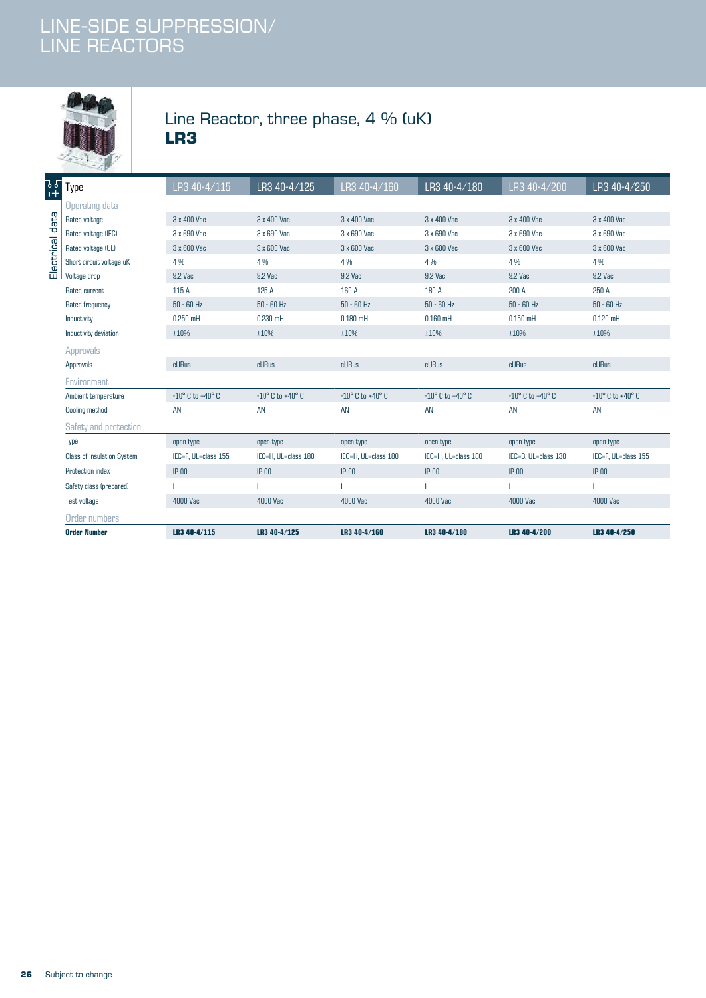

### Line Reactor, three phase, 4 % (uK) **LR3**

|                 | $-2.9$                            |                                    |                                    |                                    |                                    |                                    |                                    |
|-----------------|-----------------------------------|------------------------------------|------------------------------------|------------------------------------|------------------------------------|------------------------------------|------------------------------------|
| ]<br>ያ<br>1     | Type                              | LR3 40-4/115                       | LR3 40-4/125                       | LR3 40-4/160                       | LR3 40-4/180                       | LR3 40-4/200                       | LR3 40-4/250                       |
|                 | <b>Operating data</b>             |                                    |                                    |                                    |                                    |                                    |                                    |
| Electrical data | Rated voltage                     | 3 x 400 Vac                        | 3 x 400 Vac                        | 3 x 400 Vac                        | 3 x 400 Vac                        | 3 x 400 Vac                        | 3 x 400 Vac                        |
|                 | Rated voltage (IEC)               | 3 x 690 Vac                        | 3 x 690 Vac                        | 3 x 690 Vac                        | 3 x 690 Vac                        | 3 x 690 Vac                        | 3 x 690 Vac                        |
|                 | Rated voltage (UL)                | 3 x 600 Vac                        | 3 x 600 Vac                        | 3 x 600 Vac                        | 3 x 600 Vac                        | 3 x 600 Vac                        | 3 x 600 Vac                        |
|                 | Short circuit voltage uK          | 4%                                 | 4 %                                | 4%                                 | 4%                                 | 4 %                                | 4 %                                |
|                 | Voltage drop                      | 9.2 Vac                            | 9.2 Vac                            | 9.2 Vac                            | 9.2 Vac                            | 9.2 Vac                            | 9.2 Vac                            |
|                 | Rated current                     | 115 A                              | 125 A                              | 160 A                              | 180 A                              | 200 A                              | 250 A                              |
|                 | Rated frequency                   | $50 - 60$ Hz                       | $50 - 60$ Hz                       | $50 - 60$ Hz                       | $50 - 60$ Hz                       | $50 - 60$ Hz                       | $50 - 60$ Hz                       |
|                 | Inductivity                       | $0.250$ mH                         | $0.230$ mH                         | $0.180$ mH                         | $0.160$ mH                         | $0.150$ mH                         | $0.120$ mH                         |
|                 | Inductivity deviation             | ±10%                               | ±10%                               | ±10%                               | ±10%                               | ±10%                               | ±10%                               |
|                 | Approvals                         |                                    |                                    |                                    |                                    |                                    |                                    |
|                 | Approvals                         | cURus                              | cURus                              | cURus                              | cURus                              | cURus                              | cURus                              |
|                 | Environment                       |                                    |                                    |                                    |                                    |                                    |                                    |
|                 | Ambient temperature               | $-10^{\circ}$ C to $+40^{\circ}$ C | $-10^{\circ}$ C to $+40^{\circ}$ C | $-10^{\circ}$ C to $+40^{\circ}$ C | $-10^{\circ}$ C to $+40^{\circ}$ C | $-10^{\circ}$ C to $+40^{\circ}$ C | $-10^{\circ}$ C to $+40^{\circ}$ C |
|                 | Cooling method                    | AN                                 | AN                                 | AN                                 | AN                                 | AN                                 | <b>AN</b>                          |
|                 | Safety and protection             |                                    |                                    |                                    |                                    |                                    |                                    |
|                 | Type                              | open type                          | open type                          | open type                          | open type                          | open type                          | open type                          |
|                 | <b>Class of Insulation System</b> | IEC=F, UL=class 155                | IEC=H, UL=class 180                | IEC=H, UL=class 180                | IEC=H, UL=class 180                | IEC=B, UL=class 130                | IEC=F, UL=class 155                |
|                 | Protection index                  | $IP$ 00                            | $IP$ 00                            | $IP$ 00                            | $IP$ 00                            | $IP$ 00                            | $IP$ 00                            |
|                 | Safety class (prepared)           |                                    |                                    |                                    |                                    |                                    |                                    |
|                 | Test voltage                      | 4000 Vac                           | 4000 Vac                           | 4000 Vac                           | 4000 Vac                           | 4000 Vac                           | 4000 Vac                           |
|                 | Order numbers                     |                                    |                                    |                                    |                                    |                                    |                                    |
|                 | <b>Order Number</b>               | LR3 40-4/115                       | LR3 40-4/125                       | LR3 40-4/160                       | LR3 40-4/180                       | LR3 40-4/200                       | LR3 40-4/250                       |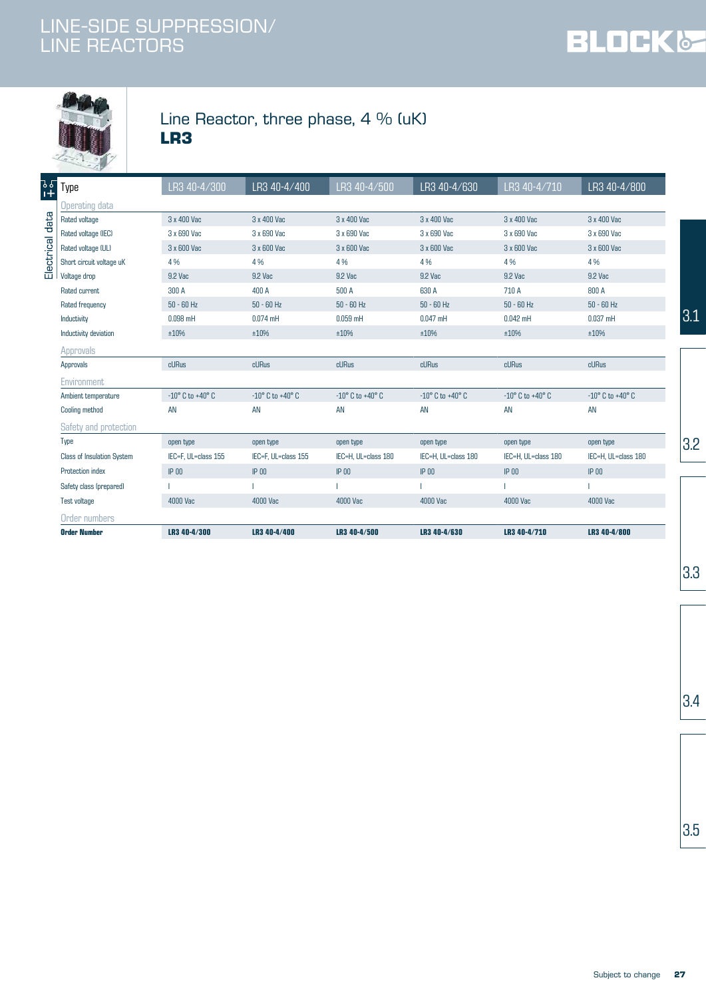



### Line Reactor, three phase, 4 % (uK) **LR3**

| <b>Order Number</b>               | LR3 40-4/300                       | LR3 40-4/400                       | LR3 40-4/500                       | LR3 40-4/630                       | LR3 40-4/710                       | LR3 40-4/800                       |
|-----------------------------------|------------------------------------|------------------------------------|------------------------------------|------------------------------------|------------------------------------|------------------------------------|
| Order numbers                     |                                    |                                    |                                    |                                    |                                    |                                    |
| Test voltage                      | 4000 Vac                           | 4000 Vac                           | 4000 Vac                           | 4000 Vac                           | 4000 Vac                           | 4000 Vac                           |
| Safety class (prepared)           |                                    |                                    |                                    |                                    |                                    |                                    |
| Protection index                  | $IP$ 00                            | $IP$ 00                            | $IP$ 00                            | $IP$ 00                            | $IP$ 00                            | $IP$ 00                            |
| <b>Class of Insulation System</b> | IEC=F. UL=class 155                | IEC=F, UL=class 155                | IEC=H. UL=class 180                | IEC=H, UL=class 180                | IEC=H, UL=class 180                | IEC=H. UL=class 180                |
| Type                              | open type                          | open type                          | open type                          | open type                          | open type                          | open type                          |
| Safety and protection             |                                    |                                    |                                    |                                    |                                    |                                    |
| Cooling method                    | AN                                 | AN                                 | AN                                 | AN                                 | AN                                 | AN                                 |
| Ambient temperature               | $-10^{\circ}$ C to $+40^{\circ}$ C | $-10^{\circ}$ C to $+40^{\circ}$ C | $-10^{\circ}$ C to $+40^{\circ}$ C | $-10^{\circ}$ C to $+40^{\circ}$ C | $-10^{\circ}$ C to $+40^{\circ}$ C | $-10^{\circ}$ C to $+40^{\circ}$ C |
| Environment                       |                                    |                                    |                                    |                                    |                                    |                                    |
| Approvals                         | cURus                              | cURus                              | cURus                              | cURus                              | <b>cURus</b>                       | cURus                              |
| Approvals                         |                                    |                                    |                                    |                                    |                                    |                                    |
| Inductivity deviation             | ±10%                               | ±10%                               | ±10%                               | ±10%                               | ±10%                               | ±10%                               |
| Inductivity                       | $0.098$ mH                         | $0.074$ mH                         | $0.059$ mH                         | $0.047$ mH                         | $0.042$ mH                         | $0.037$ mH                         |
| Rated frequency                   | $50 - 60$ Hz                       | $50 - 60$ Hz                       | $50 - 60$ Hz                       | $50 - 60$ Hz                       | $50 - 60$ Hz                       | $50 - 60$ Hz                       |
| Rated current                     | 300 A                              | 400 A                              | 500 A                              | 630 A                              | 710 A                              | 800 A                              |
| Voltage drop                      | 9.2 Vac                            | 9.2 Vac                            | 9.2 Vac                            | 9.2 Vac                            | 9.2 Vac                            | 9.2 Vac                            |
| Short circuit voltage uK          | 4 %                                | 4%                                 | 4 %                                | 4%                                 | 4 %                                | 4 %                                |
| Rated voltage (UL)                | 3 x 600 Vac                        | 3 x 600 Vac                        | 3 x 600 Vac                        | 3 x 600 Vac                        | 3 x 600 Vac                        | 3 x 600 Vac                        |
| Rated voltage (IEC)               | 3 x 690 Vac                        | 3 x 690 Vac                        | 3 x 690 Vac                        | 3 x 690 Vac                        | 3 x 690 Vac                        | 3 x 690 Vac                        |
| Rated voltage                     | 3 x 400 Vac                        | 3 x 400 Vac                        | 3 x 400 Vac                        | 3 x 400 Vac                        | 3 x 400 Vac                        | 3 x 400 Vac                        |
| Operating data                    |                                    |                                    |                                    |                                    |                                    |                                    |
| Type                              | LR3 40-4/300                       | LR3 40-4/400                       | LR3 40-4/500                       | LR3 40-4/630                       | LR3 40-4/710                       | LR3 40-4/800                       |

3.3

 $3.4$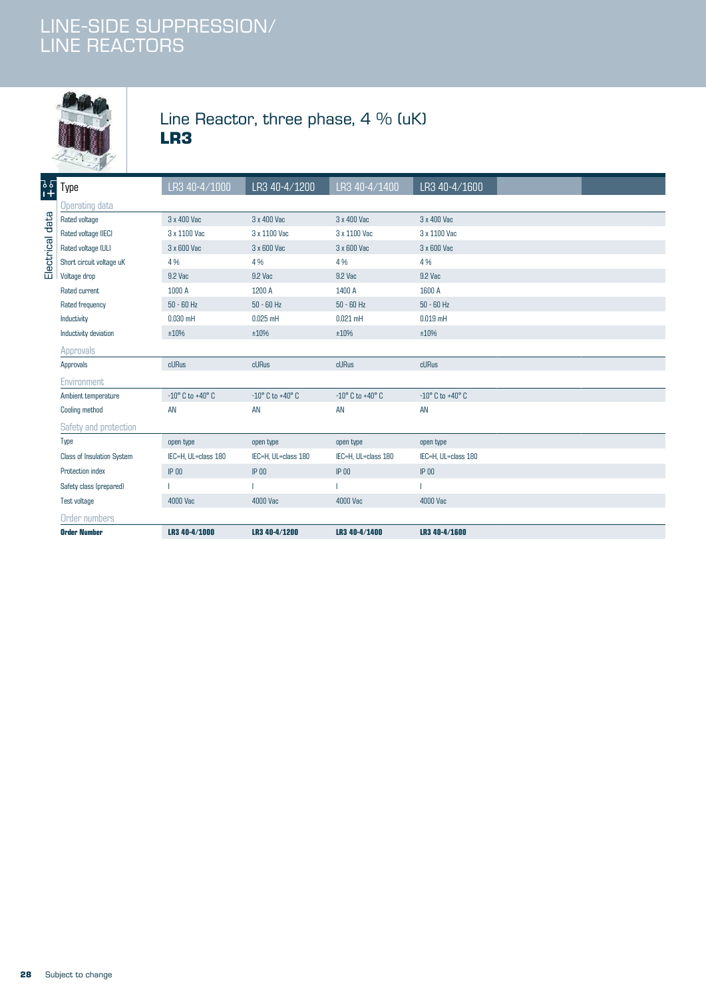

### Line Reactor, three phase, 4 % (uK) **LR3**

| <b>Order Number</b>                   | LR3 40-4/1000                      | LR3 40-4/1200                      | LR3 40-4/1400                      | LR3 40-4/1600                      |  |
|---------------------------------------|------------------------------------|------------------------------------|------------------------------------|------------------------------------|--|
| Order numbers                         |                                    |                                    |                                    |                                    |  |
| Test voltage                          | 4000 Vac                           | 4000 Vac                           | 4000 Vac                           | 4000 Vac                           |  |
| Safety class (prepared)               |                                    |                                    |                                    |                                    |  |
| Protection index                      | $IP$ 00                            | $IP$ 00                            | $IP$ $00$                          | $IP$ $00$                          |  |
| <b>Class of Insulation System</b>     | IEC=H, UL=class 180                | IEC=H, UL=class 180                | IEC=H, UL=class 180                | IEC=H, UL=class 180                |  |
| Type                                  | open type                          | open type                          | open type                          | open type                          |  |
| Safety and protection                 |                                    |                                    |                                    |                                    |  |
| Cooling method                        | AN                                 | AN                                 | AN                                 | AN                                 |  |
| Ambient temperature                   | $-10^{\circ}$ C to $+40^{\circ}$ C | $-10^{\circ}$ C to $+40^{\circ}$ C | $-10^{\circ}$ C to $+40^{\circ}$ C | $-10^{\circ}$ C to $+40^{\circ}$ C |  |
| Environment                           |                                    |                                    |                                    |                                    |  |
| Approvals                             | cURus                              | cURus                              | cURus                              | cURus                              |  |
| Approvals                             |                                    |                                    |                                    |                                    |  |
| Inductivity deviation                 | ±10%                               | ±10%                               | ±10%                               | ±10%                               |  |
| Inductivity                           | $0.030$ mH                         | $0.025$ mH                         | $0.021$ mH                         | $0.019$ mH                         |  |
| Rated frequency                       | $50 - 60$ Hz                       | $50 - 60$ Hz                       | $50 - 60$ Hz                       | $50 - 60$ Hz                       |  |
| Rated current                         | 1000 A                             | 1200 A                             | 1400 A                             | 1600 A                             |  |
| Voltage drop                          | 9.2 Vac                            | 9.2 Vac                            | 9.2 Vac                            | 9.2 Vac                            |  |
| Short circuit voltage uK              | 4%                                 | 4 %                                | 4 %                                | 4 %                                |  |
| Electrical data<br>Rated voltage (UL) | 3 x 600 Vac                        | 3 x 600 Vac                        | 3 x 600 Vac                        | 3 x 600 Vac                        |  |
| Rated voltage (IEC)                   | 3 x 1100 Vac                       | 3 x 1100 Vac                       | 3 x 1100 Vac                       | 3 x 1100 Vac                       |  |
| Rated voltage                         | 3 x 400 Vac                        | 3 x 400 Vac                        | 3 x 400 Vac                        | 3 x 400 Vac                        |  |
| Operating data                        |                                    |                                    |                                    |                                    |  |
| ]<br>1+<br>Type                       | LR3 40-4/1000                      | LR3 40-4/1200                      | LR3 40-4/1400                      | LR3 40-4/1600                      |  |
| $-69$                                 |                                    |                                    |                                    |                                    |  |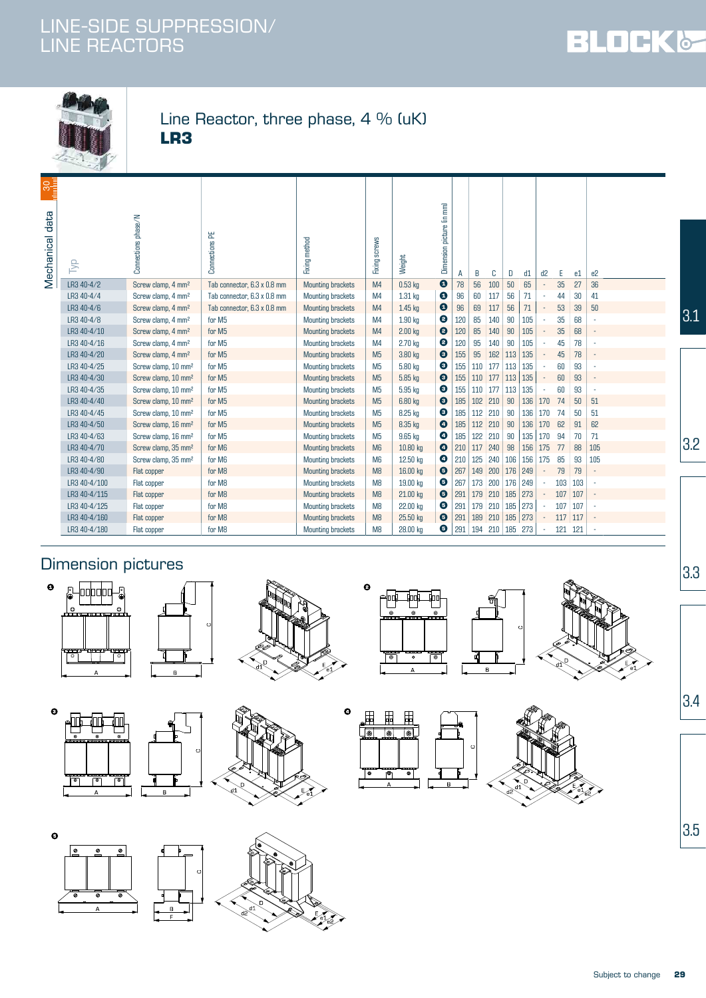



#### Line Reactor, three phase, 4 % (uK) **LR3**

|                                                     | $-49$        |                                 |                             |                          |                |           |                           |     |               |           |           |             |                |     |     |                |     |
|-----------------------------------------------------|--------------|---------------------------------|-----------------------------|--------------------------|----------------|-----------|---------------------------|-----|---------------|-----------|-----------|-------------|----------------|-----|-----|----------------|-----|
| $\begin{array}{c}\n 30 \\ \hline\n 0\n \end{array}$ |              |                                 |                             |                          |                |           |                           |     |               |           |           |             |                |     |     |                |     |
| data<br>Mechanical                                  | 异            | $M$ sac $M$<br>Connections      | Connections PE              | Fixing method            | Fixing screws  | Weight    | Dimension picture (in mm) | А   | B             | C         | D         | d1          | d <sub>2</sub> | E   | e1  | e <sub>2</sub> |     |
|                                                     | LR3 40-4/2   | Screw clamp, 4 mm <sup>2</sup>  | Tab connector, 6.3 x 0.8 mm | <b>Mounting brackets</b> | M4             | $0.53$ kg | $\boldsymbol{\Theta}$     | 78  | 56            | 100       | 50        | 65          |                | 35  | 27  | 36             |     |
|                                                     | LR3 40-4/4   | Screw clamp, 4 mm <sup>2</sup>  | Tab connector, 6.3 x 0.8 mm | Mounting brackets        | M4             | 1.31 kg   | $\boldsymbol{\Theta}$     | 96  | 60            | 117       | 56        | 71          |                | 44  | 30  | 41             |     |
|                                                     | LR3 40-4/6   | Screw clamp, 4 mm <sup>2</sup>  | Tab connector, 6.3 x 0.8 mm | <b>Mounting brackets</b> | M4             | $1.45$ kg | $\bullet$                 | 96  | 69            | 117       | 56        | 71          |                | 53  | 39  | 50             |     |
|                                                     | LR3 40-4/8   | Screw clamp, 4 mm <sup>2</sup>  | for M5                      | Mounting brackets        | M4             | 1.90 kg   | $\bullet$                 | 120 | 85            | 140       | 90        | 105         |                | 35  | 68  |                | 3.1 |
|                                                     | LR3 40-4/10  | Screw clamp, 4 mm <sup>2</sup>  | for M5                      | <b>Mounting brackets</b> | M <sub>4</sub> | $2.00$ kg | $\bullet$                 | 120 | 85            | 140       | 90        | 105         |                | 35  | 68  |                |     |
|                                                     | LR3 40-4/16  | Screw clamp, 4 mm <sup>2</sup>  | for M5                      | <b>Mounting brackets</b> | M4             | 2.70 kg   | €                         | 120 | 95            | 140       | 90        | 105         |                | 45  | 78  |                |     |
|                                                     | LR3 40-4/20  | Screw clamp, 4 mm <sup>2</sup>  | for M5                      | <b>Mounting brackets</b> | M <sub>5</sub> | 3.80 kg   | $\bullet$                 | 155 | 95            | 162       | 113       | 135         |                | 45  | 78  |                |     |
|                                                     | LR3 40-4/25  | Screw clamp, 10 mm <sup>2</sup> | for M5                      | Mounting brackets        | M <sub>5</sub> | 5.80 kg   | ◉                         | 155 | 110           | 177       | 113       | 135         |                | 60  | 93  |                |     |
|                                                     | LR3 40-4/30  | Screw clamp, 10 mm <sup>2</sup> | for M5                      | <b>Mounting brackets</b> | M <sub>5</sub> | 5.85 kg   | $\bullet$                 | 155 | 110           | 177       | 113       | 135         |                | 60  | 93  |                |     |
|                                                     | LR3 40-4/35  | Screw clamp, 10 mm <sup>2</sup> | for M5                      | Mounting brackets        | M <sub>5</sub> | 5.95 kg   | $\bullet$                 | 155 | 110           | 177       | 113       | 135         |                | 60  | 93  |                |     |
|                                                     | LR3 40-4/40  | Screw clamp, 10 mm <sup>2</sup> | for M5                      | <b>Mounting brackets</b> | M <sub>5</sub> | 6.80 kg   | $\bullet$                 | 185 |               | $102$ 210 | 90        | 136         | 170            | 74  | 50  | 51             |     |
|                                                     | LR3 40-4/45  | Screw clamp, 10 mm <sup>2</sup> | for M5                      | Mounting brackets        | M <sub>5</sub> | 8.25 kg   | ◉                         | 185 | 112           | 210       | 90        | 136         | 170            | 74  | 50  | 51             |     |
|                                                     | LR3 40-4/50  | Screw clamp, 16 mm <sup>2</sup> | for M5                      | <b>Mounting brackets</b> | M <sub>5</sub> | 8.35 kg   | $\bullet$                 | 185 | 112           | 210       | 90        | 136         | 170            | 62  | 91  | 62             |     |
|                                                     | LR3 40-4/63  | Screw clamp, 16 mm <sup>2</sup> | for M5                      | Mounting brackets        | M <sub>5</sub> | 9.65 kg   | $\bullet$                 | 185 | 122           | 210       | 90        | 135         | 170            | 94  | 70  | 71             |     |
|                                                     | LR3 40-4/70  | Screw clamp, 35 mm <sup>2</sup> | for M6                      | <b>Mounting brackets</b> | M <sub>6</sub> | 10.80 kg  | $\bullet$                 | 210 | 117           | 240       | 98        | $156$   175 |                | 77  | 88  | 105            | 3.2 |
|                                                     | LR3 40-4/80  | Screw clamp, 35 mm <sup>2</sup> | for M6                      | Mounting brackets        | M <sub>6</sub> | 12.50 kg  | ❹                         | 210 | 125           | 240       | 106       | 156         | 175            | 85  | 93  | 105            |     |
|                                                     | LR3 40-4/90  | Flat copper                     | for M8                      | <b>Mounting brackets</b> | M <sub>8</sub> | 16.00 kg  | $\bullet$                 | 267 | 149           | 200       | 176 249   |             |                | 79  | 79  |                |     |
|                                                     | LR3 40-4/100 | Flat copper                     | for M8                      | Mounting brackets        | M <sub>8</sub> | 19.00 kg  | ◉                         | 267 |               | 173 200   | 176 249   |             |                | 103 | 103 |                |     |
|                                                     | LR3 40-4/115 | Flat copper                     | for M8                      | <b>Mounting brackets</b> | M8             | 21.00 kg  | $\bullet$                 | 291 |               | $179$ 210 | 185       | 273         |                | 107 | 107 |                |     |
|                                                     | LR3 40-4/125 | Flat copper                     | for M8                      | <b>Mounting brackets</b> | M <sub>8</sub> | 22.00 kg  | ❺                         | 291 |               | $179$ 210 | 185 273   |             |                | 107 | 107 |                |     |
|                                                     | LR3 40-4/160 | Flat copper                     | for M8                      | <b>Mounting brackets</b> | M <sub>8</sub> | 25.50 kg  | ❺                         | 291 |               | 189 210   | $185$ 273 |             |                | 117 | 117 |                |     |
|                                                     | LR3 40-4/180 | Flat copper                     | for M8                      | <b>Mounting brackets</b> | M <sub>8</sub> | 28.00 kg  | ❺                         | 291 | $194$ 210 185 |           |           | 273         |                | 121 | 121 |                |     |

### Dimension pictures



 $\bullet$ 













 $3.4$ 

 $3.3$